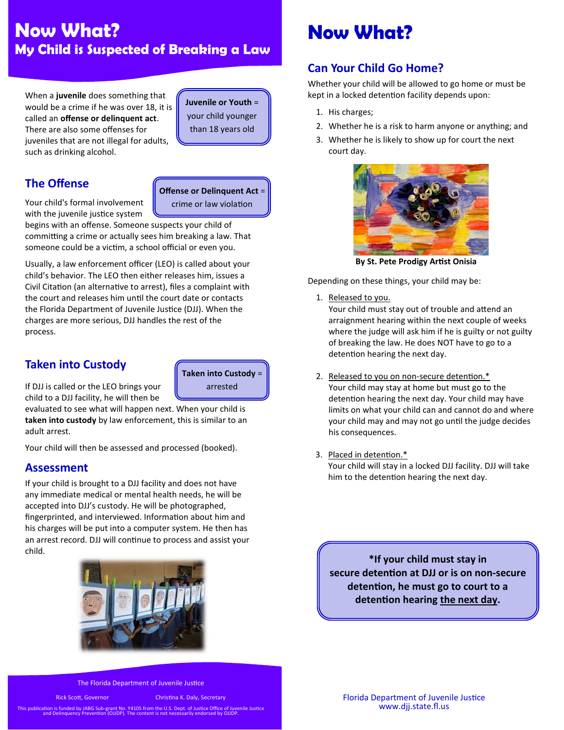## **Now What? My Child is Suspected of Breaking a Law**

When a **juvenile** does something that would be a crime if he was over 18, it is called an **offense or delinquent act**. There are also some offenses for juveniles that are not illegal for adults, such as drinking alcohol.

**Juvenile or Youth** = your child younger than 18 years old

### **The Offense**

Your child's formal involvement with the juvenile justice system

**Offense or Delinquent Act** = crime or law violation

begins with an offense. Someone suspects your child of committing a crime or actually sees him breaking a law. That someone could be a victim, a school official or even you.

Usually, a law enforcement officer (LEO) is called about your child's behavior. The LEO then either releases him, issues a Civil Citation (an alternative to arrest), files a complaint with the court and releases him until the court date or contacts the Florida Department of Juvenile Justice (DJJ). When the charges are more serious, DJJ handles the rest of the process.

### **Taken into Custody**

**Taken into Custody** = arrested

If DJJ is called or the LEO brings your child to a DJJ facility, he will then be

evaluated to see what will happen next. When your child is **taken into custody** by law enforcement, this is similar to an adult arrest.

Your child will then be assessed and processed (booked).

### **Assessment**

If your child is brought to a DJJ facility and does not have any immediate medical or mental health needs, he will be accepted into DJJ's custody. He will be photographed, fingerprinted, and interviewed. Information about him and his charges will be put into a computer system. He then has an arrest record. DJJ will continue to process and assist your child.



# **Now What?**

### **Can Your Child Go Home?**

Whether your child will be allowed to go home or must be kept in a locked detention facility depends upon:

- 1. His charges;
- 2. Whether he is a risk to harm anyone or anything; and
- 3. Whether he is likely to show up for court the next court day.



**By St. Pete Prodigy Artist Onisia**

Depending on these things, your child may be:

1. Released to you.

Your child must stay out of trouble and attend an arraignment hearing within the next couple of weeks where the judge will ask him if he is guilty or not guilty of breaking the law. He does NOT have to go to a detention hearing the next day.

- 2. Released to you on non-secure detention.\* Your child may stay at home but must go to the detention hearing the next day. Your child may have limits on what your child can and cannot do and where your child may and may not go until the judge decides his consequences.
- 3. Placed in detention.\*

Your child will stay in a locked DJJ facility. DJJ will take him to the detention hearing the next day.

**\*If your child must stay in secure detention at DJJ or is on non-secure detention, he must go to court to a detention hearing the next day.** 

The Florida Department of Juvenile Justice

Rick Scott, Governor Christina K. Daly, Secretary

This publication is funded by JABG Sub-grant No. Y4105 from the U.S. Dept. of Justice Office of Juvenile Justice and Delinquency Prevention (OJJDP). The content is not necessarily endorsed by OJJDP.